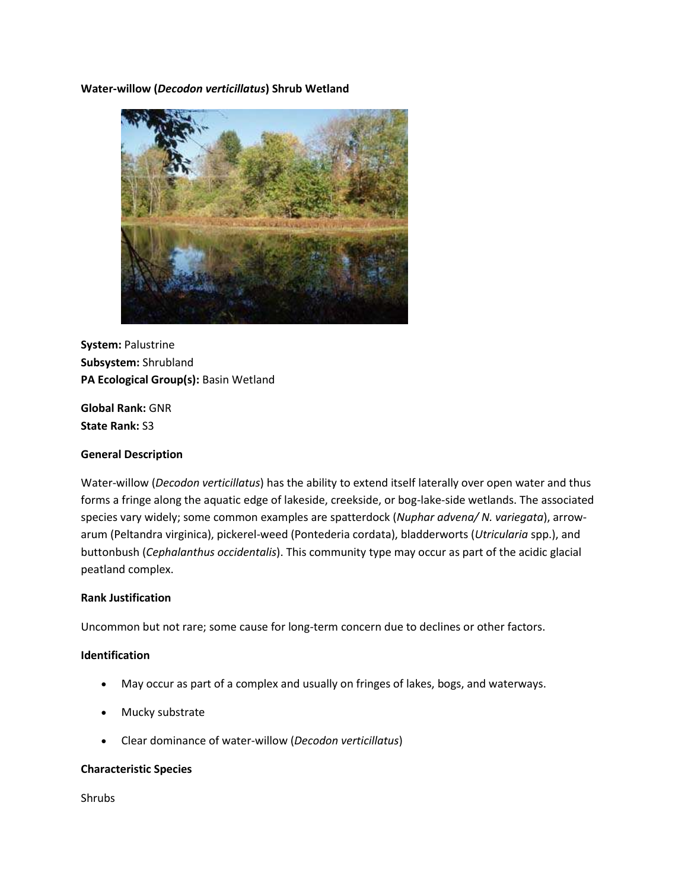**Water-willow (***Decodon verticillatus***) Shrub Wetland**



**System:** Palustrine **Subsystem:** Shrubland **PA Ecological Group(s):** Basin Wetland

**Global Rank:** GNR **State Rank:** S3

#### **General Description**

Water-willow (*Decodon verticillatus*) has the ability to extend itself laterally over open water and thus forms a fringe along the aquatic edge of lakeside, creekside, or bog-lake-side wetlands. The associated species vary widely; some common examples are spatterdock (*Nuphar advena/ N. variegata*), arrowarum (Peltandra virginica), pickerel-weed (Pontederia cordata), bladderworts (*Utricularia* spp.), and buttonbush (*Cephalanthus occidentalis*). This community type may occur as part of the acidic glacial peatland complex.

#### **Rank Justification**

Uncommon but not rare; some cause for long-term concern due to declines or other factors.

#### **Identification**

- May occur as part of a complex and usually on fringes of lakes, bogs, and waterways.
- Mucky substrate
- Clear dominance of water-willow (*Decodon verticillatus*)

#### **Characteristic Species**

Shrubs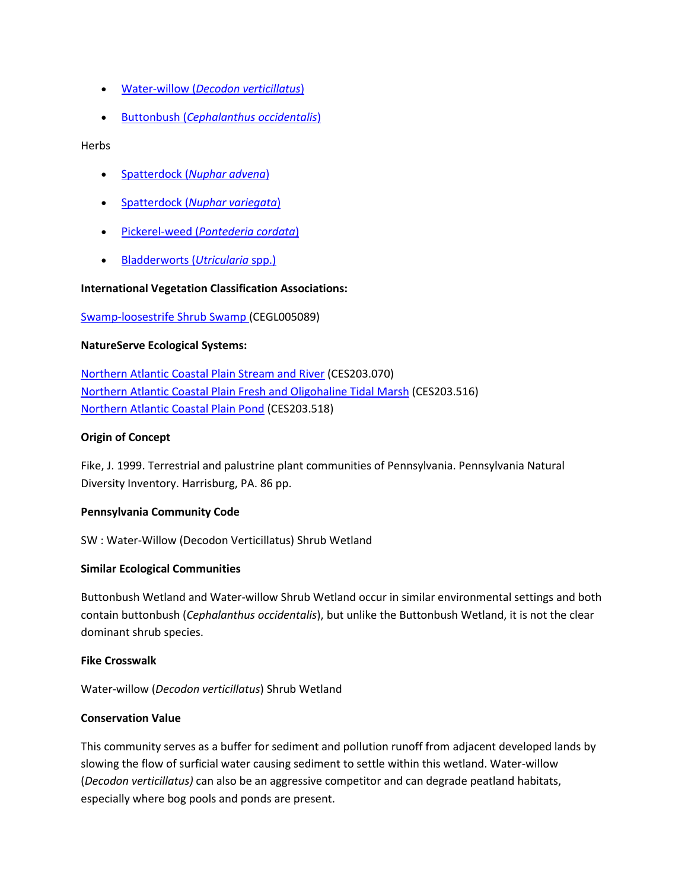- Water-willow (*[Decodon verticillatus](http://www.natureserve.org/explorer/servlet/NatureServe?searchName=Decodon+verticillatus)*)
- Buttonbush (*[Cephalanthus occidentalis](http://www.natureserve.org/explorer/servlet/NatureServe?searchName=Cephalanthus+occidentalis)*)

Herbs

- Spatterdock (*[Nuphar advena](http://www.natureserve.org/explorer/servlet/NatureServe?searchName=Nuphar+lutea+ssp.+advena%20)*)
- Spatterdock (*[Nuphar variegata](http://www.natureserve.org/explorer/servlet/NatureServe?searchName=Nuphar+lutea+ssp.+variegata)*)
- Pickerel-weed (*[Pontederia cordata](http://www.natureserve.org/explorer/servlet/NatureServe?searchName=Pontederia+cordata)*)
- [Bladderworts \(](http://www.natureserve.org/explorer/servlet/NatureServe?searchSciOrCommonName=utricularia)*Utricularia* spp.)

## **International Vegetation Classification Associations:**

#### [Swamp-loosestrife Shrub Swamp \(](http://www.natureserve.org/explorer/servlet/NatureServe?searchCommunityUid=ELEMENT_GLOBAL.2.685207)CEGL005089)

#### **NatureServe Ecological Systems:**

[Northern Atlantic Coastal Plain Stream and River](http://www.natureserve.org/explorer/servlet/NatureServe?searchSystemUid=ELEMENT_GLOBAL.2.798071) (CES203.070) [Northern Atlantic Coastal Plain Fresh and Oligohaline Tidal Marsh](http://www.natureserve.org/explorer/servlet/NatureServe?searchSystemUid=ELEMENT_GLOBAL.2.723075) (CES203.516) [Northern Atlantic Coastal Plain Pond](http://www.natureserve.org/explorer/servlet/NatureServe?searchSystemUid=ELEMENT_GLOBAL.2.723074) (CES203.518)

#### **Origin of Concept**

Fike, J. 1999. Terrestrial and palustrine plant communities of Pennsylvania. Pennsylvania Natural Diversity Inventory. Harrisburg, PA. 86 pp.

## **Pennsylvania Community Code**

SW : Water-Willow (Decodon Verticillatus) Shrub Wetland

#### **Similar Ecological Communities**

Buttonbush Wetland and Water-willow Shrub Wetland occur in similar environmental settings and both contain buttonbush (*Cephalanthus occidentalis*), but unlike the Buttonbush Wetland, it is not the clear dominant shrub species.

## **Fike Crosswalk**

Water-willow (*Decodon verticillatus*) Shrub Wetland

#### **Conservation Value**

This community serves as a buffer for sediment and pollution runoff from adjacent developed lands by slowing the flow of surficial water causing sediment to settle within this wetland. Water-willow (*Decodon verticillatus)* can also be an aggressive competitor and can degrade peatland habitats, especially where bog pools and ponds are present.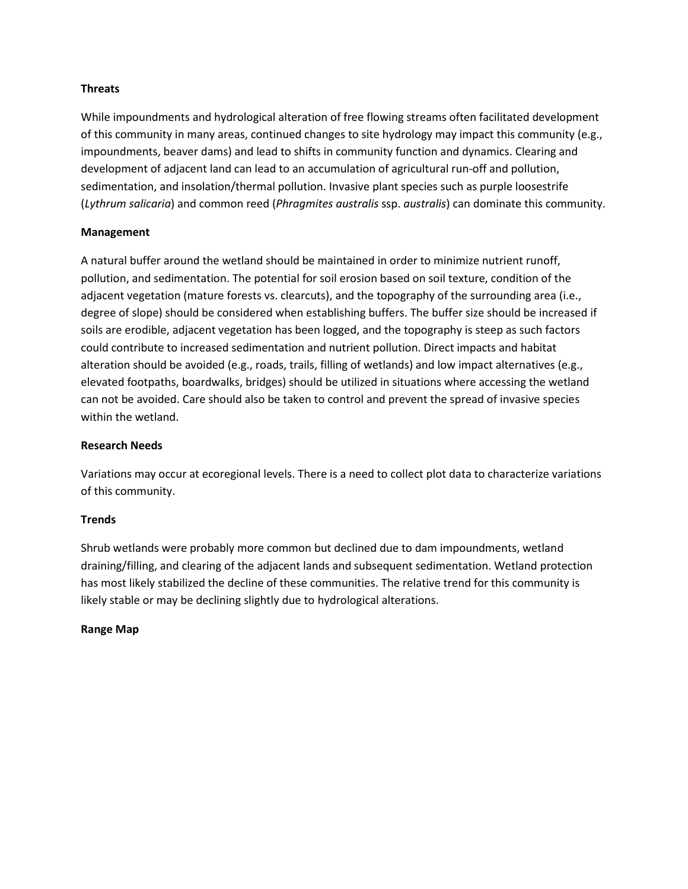## **Threats**

While impoundments and hydrological alteration of free flowing streams often facilitated development of this community in many areas, continued changes to site hydrology may impact this community (e.g., impoundments, beaver dams) and lead to shifts in community function and dynamics. Clearing and development of adjacent land can lead to an accumulation of agricultural run-off and pollution, sedimentation, and insolation/thermal pollution. Invasive plant species such as purple loosestrife (*Lythrum salicaria*) and common reed (*Phragmites australis* ssp. *australis*) can dominate this community.

# **Management**

A natural buffer around the wetland should be maintained in order to minimize nutrient runoff, pollution, and sedimentation. The potential for soil erosion based on soil texture, condition of the adjacent vegetation (mature forests vs. clearcuts), and the topography of the surrounding area (i.e., degree of slope) should be considered when establishing buffers. The buffer size should be increased if soils are erodible, adjacent vegetation has been logged, and the topography is steep as such factors could contribute to increased sedimentation and nutrient pollution. Direct impacts and habitat alteration should be avoided (e.g., roads, trails, filling of wetlands) and low impact alternatives (e.g., elevated footpaths, boardwalks, bridges) should be utilized in situations where accessing the wetland can not be avoided. Care should also be taken to control and prevent the spread of invasive species within the wetland.

## **Research Needs**

Variations may occur at ecoregional levels. There is a need to collect plot data to characterize variations of this community.

## **Trends**

Shrub wetlands were probably more common but declined due to dam impoundments, wetland draining/filling, and clearing of the adjacent lands and subsequent sedimentation. Wetland protection has most likely stabilized the decline of these communities. The relative trend for this community is likely stable or may be declining slightly due to hydrological alterations.

## **Range Map**